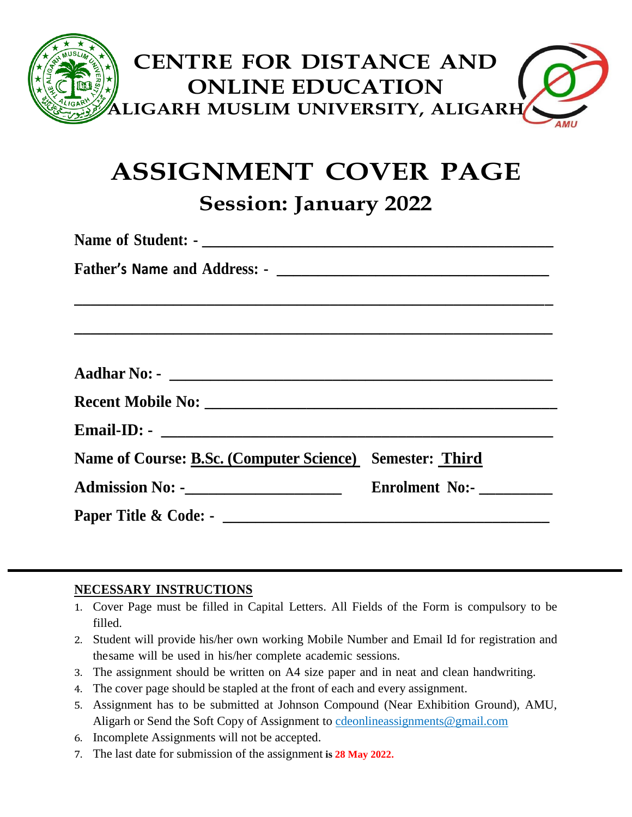

# **ASSIGNMENT COVER PAGE Session: January 2022**

**Name of Student: - \_\_\_\_\_\_\_\_\_\_\_\_\_\_\_\_\_\_\_\_\_\_\_\_\_\_\_\_\_\_\_\_\_\_\_\_\_\_\_\_\_\_\_ Father's Name and Address: - \_\_\_\_\_\_\_\_\_\_\_\_\_\_\_\_\_\_\_\_\_\_\_\_\_\_\_\_\_\_\_\_\_ \_\_\_\_\_\_\_\_\_\_\_\_\_\_\_\_\_\_\_\_\_\_\_\_\_\_\_\_\_\_\_\_\_\_\_\_\_\_\_\_\_\_\_\_\_\_\_\_\_\_\_\_\_\_\_\_\_\_ \_\_\_\_\_\_\_\_\_\_\_\_\_\_\_\_\_\_\_\_\_\_\_\_\_\_\_\_\_\_\_\_\_\_\_\_\_\_\_\_\_\_\_\_\_\_\_\_\_\_\_\_\_\_\_\_\_\_ Aadhar No: - \_\_\_\_\_\_\_\_\_\_\_\_\_\_\_\_\_\_\_\_\_\_\_\_\_\_\_\_\_\_\_\_\_\_\_\_\_\_\_\_\_\_\_\_\_\_\_ Recent Mobile No: \_\_\_\_\_\_\_\_\_\_\_\_\_\_\_\_\_\_\_\_\_\_\_\_\_\_\_\_\_\_\_\_\_\_\_\_\_\_\_\_\_\_\_\_\_ Email-ID: - \_\_\_\_\_\_\_\_\_\_\_\_\_\_\_\_\_\_\_\_\_\_\_\_\_\_\_\_\_\_\_\_\_\_\_\_\_\_\_\_\_\_\_\_\_\_\_\_ Name of Course: B.Sc. (Computer Science) Semester: Third Admission No: -\_\_\_\_\_\_\_\_\_\_\_\_\_\_\_\_\_\_\_\_ Enrolment No:- \_\_\_\_\_\_\_\_\_ Paper Title & Code: - \_\_\_\_\_\_\_\_\_\_\_\_\_\_\_\_\_\_\_\_\_\_\_\_\_\_\_\_\_\_\_\_\_\_\_\_\_\_\_\_**

#### **NECESSARY INSTRUCTIONS**

- 1. Cover Page must be filled in Capital Letters. All Fields of the Form is compulsory to be filled.
- 2. Student will provide his/her own working Mobile Number and Email Id for registration and thesame will be used in his/her complete academic sessions.
- 3. The assignment should be written on A4 size paper and in neat and clean handwriting.
- 4. The cover page should be stapled at the front of each and every assignment.
- 5. Assignment has to be submitted at Johnson Compound (Near Exhibition Ground), AMU, Aligarh or Send the Soft Copy of Assignment to [cdeonlineassignments@gmail.com](mailto:cdeonlineassignments@gmail.com)
- 6. Incomplete Assignments will not be accepted.
- 7. The last date for submission of the assignment **is 28 May 2022.**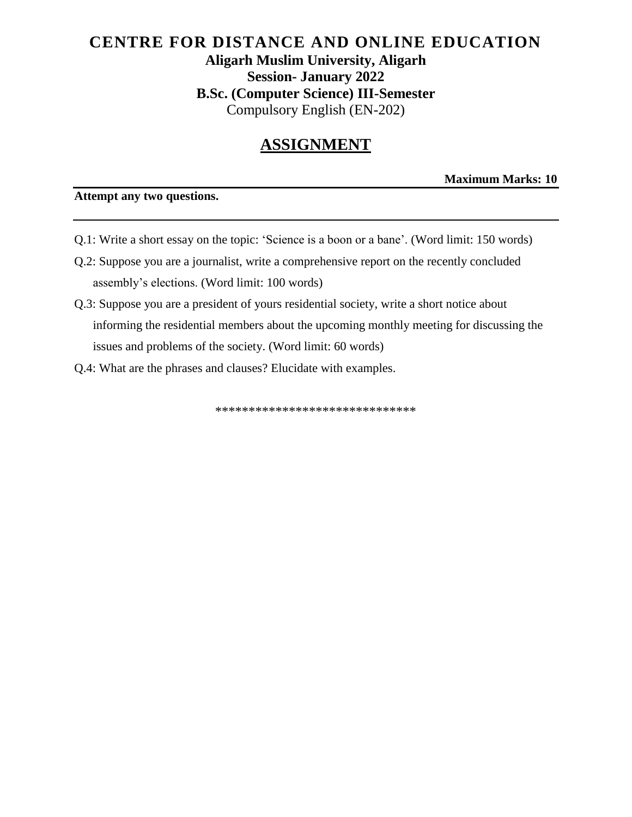## **CENTRE FOR DISTANCE AND ONLINE EDUCATION Aligarh Muslim University, Aligarh Session- January 2022 B.Sc. (Computer Science) III-Semester** Compulsory English (EN-202)

# **ASSIGNMENT**

**Maximum Marks: 10**

#### **Attempt any two questions.**

- Q.1: Write a short essay on the topic: 'Science is a boon or a bane'. (Word limit: 150 words)
- Q.2: Suppose you are a journalist, write a comprehensive report on the recently concluded assembly's elections. (Word limit: 100 words)
- Q.3: Suppose you are a president of yours residential society, write a short notice about informing the residential members about the upcoming monthly meeting for discussing the issues and problems of the society. (Word limit: 60 words)
- Q.4: What are the phrases and clauses? Elucidate with examples.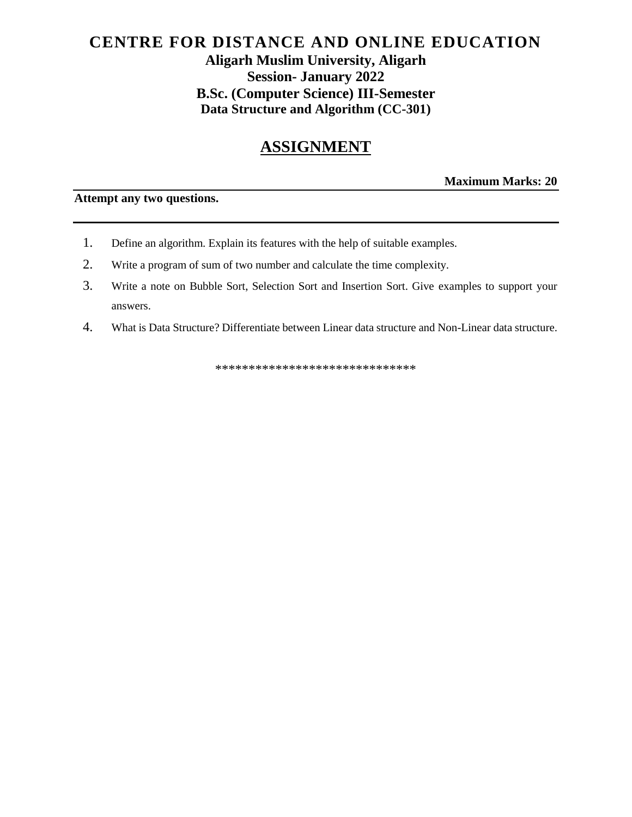### **CENTRE FOR DISTANCE AND ONLINE EDUCATION Aligarh Muslim University, Aligarh Session- January 2022 B.Sc. (Computer Science) III-Semester Data Structure and Algorithm (CC-301)**

# **ASSIGNMENT**

**Maximum Marks: 20**

**Attempt any two questions.** 

- 1. Define an algorithm. Explain its features with the help of suitable examples.
- 2. Write a program of sum of two number and calculate the time complexity.
- 3. Write a note on Bubble Sort, Selection Sort and Insertion Sort. Give examples to support your answers.
- 4. What is Data Structure? Differentiate between Linear data structure and Non-Linear data structure.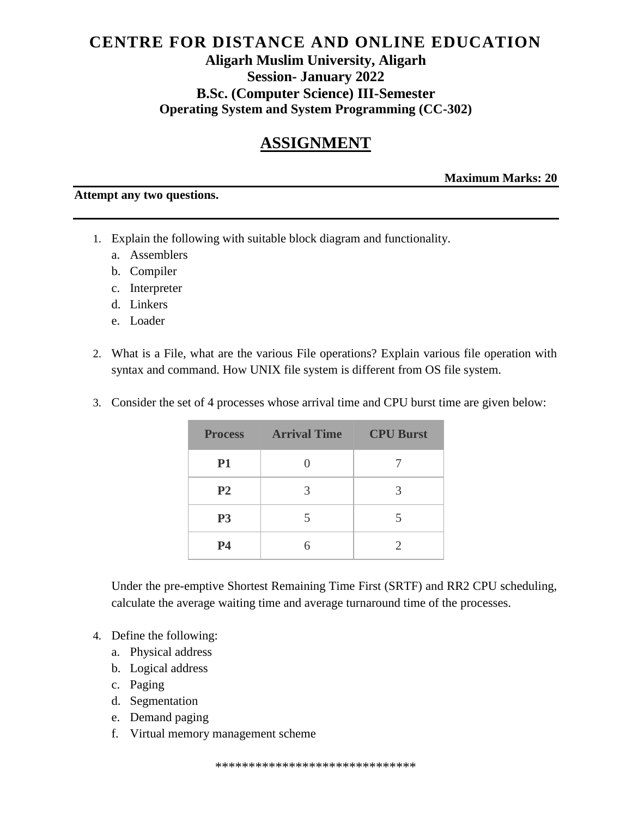#### **CENTRE FOR DISTANCE AND ONLINE EDUCATION Aligarh Muslim University, Aligarh Session- January 2022 B.Sc. (Computer Science) III-Semester Operating System and System Programming (CC-302)**

# **ASSIGNMENT**

**Maximum Marks: 20**

#### **Attempt any two questions.**

- 1. Explain the following with suitable block diagram and functionality.
	- a. Assemblers
	- b. Compiler
	- c. Interpreter
	- d. Linkers
	- e. Loader
- 2. What is a File, what are the various File operations? Explain various file operation with syntax and command. How UNIX file system is different from OS file system.
- 3. Consider the set of 4 processes whose arrival time and CPU burst time are given below:

|                | <b>Process Arrival Time CPU Burst</b> |   |
|----------------|---------------------------------------|---|
| <b>P1</b>      |                                       |   |
| P <sub>2</sub> | 3                                     | 3 |
| P <sub>3</sub> |                                       | 5 |
| <b>P4</b>      |                                       |   |

Under the pre-emptive Shortest Remaining Time First (SRTF) and RR2 CPU scheduling, calculate the average waiting time and average turnaround time of the processes.

- 4. Define the following:
	- a. Physical address
	- b. Logical address
	- c. Paging
	- d. Segmentation
	- e. Demand paging
	- f. Virtual memory management scheme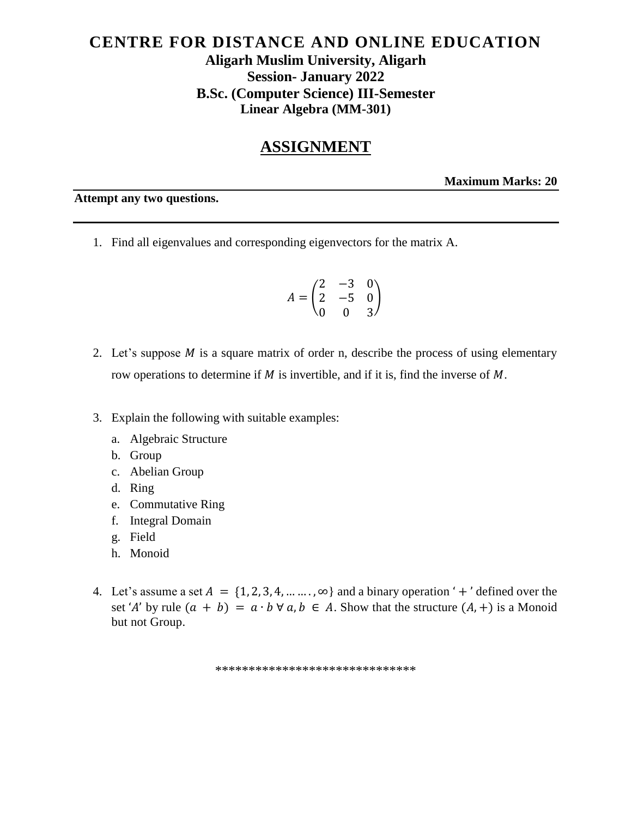### **CENTRE FOR DISTANCE AND ONLINE EDUCATION Aligarh Muslim University, Aligarh Session- January 2022 B.Sc. (Computer Science) III-Semester Linear Algebra (MM-301)**

#### **ASSIGNMENT**

**Maximum Marks: 20**

**Attempt any two questions.** 

1. Find all eigenvalues and corresponding eigenvectors for the matrix A.

$$
A = \begin{pmatrix} 2 & -3 & 0 \\ 2 & -5 & 0 \\ 0 & 0 & 3 \end{pmatrix}
$$

- 2. Let's suppose  $M$  is a square matrix of order n, describe the process of using elementary row operations to determine if  $M$  is invertible, and if it is, find the inverse of  $M$ .
- 3. Explain the following with suitable examples:
	- a. Algebraic Structure
	- b. Group
	- c. Abelian Group
	- d. Ring
	- e. Commutative Ring
	- f. Integral Domain
	- g. Field
	- h. Monoid
- 4. Let's assume a set  $A = \{1, 2, 3, 4, \dots, \infty\}$  and a binary operation '+' defined over the set 'A' by rule  $(a + b) = a \cdot b \forall a, b \in A$ . Show that the structure  $(A, +)$  is a Monoid but not Group.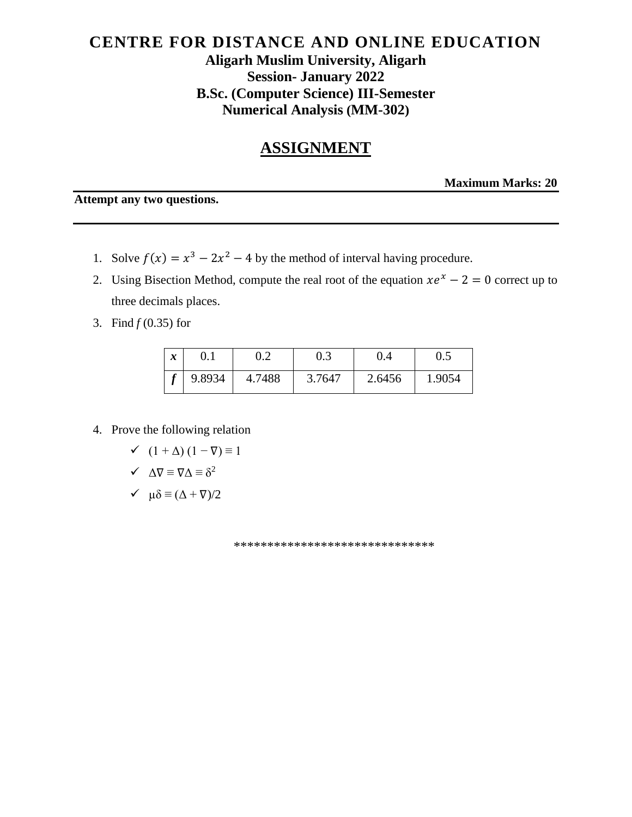## **CENTRE FOR DISTANCE AND ONLINE EDUCATION Aligarh Muslim University, Aligarh Session- January 2022 B.Sc. (Computer Science) III-Semester Numerical Analysis (MM-302)**

# **ASSIGNMENT**

**Maximum Marks: 20**

**Attempt any two questions.** 

- 1. Solve  $f(x) = x^3 2x^2 4$  by the method of interval having procedure.
- 2. Using Bisection Method, compute the real root of the equation  $xe^{x} 2 = 0$  correct up to three decimals places.
- 3. Find *f* (0.35) for

| $\boldsymbol{x}$ |        |        | U.S    |        |        |
|------------------|--------|--------|--------|--------|--------|
|                  | 9.8934 | 4.7488 | 3.7647 | 2.6456 | 1.9054 |

4. Prove the following relation

$$
\checkmark \quad (1 + \Delta) (1 - \nabla) \equiv 1
$$

$$
\checkmark \quad \Delta \nabla \equiv \nabla \Delta \equiv \delta^2
$$

 $\checkmark$   $\mu \delta \equiv (\Delta + \nabla)/2$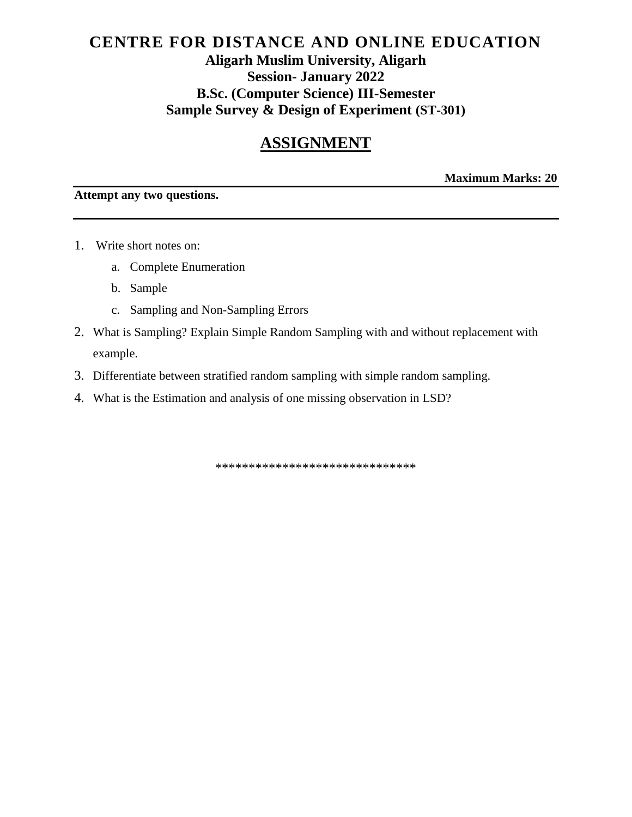## **CENTRE FOR DISTANCE AND ONLINE EDUCATION Aligarh Muslim University, Aligarh Session- January 2022 B.Sc. (Computer Science) III-Semester Sample Survey & Design of Experiment (ST-301)**

# **ASSIGNMENT**

**Maximum Marks: 20**

#### **Attempt any two questions.**

- 1. Write short notes on:
	- a. Complete Enumeration
	- b. Sample
	- c. Sampling and Non-Sampling Errors
- 2. What is Sampling? Explain Simple Random Sampling with and without replacement with example.
- 3. Differentiate between stratified random sampling with simple random sampling.
- 4. What is the Estimation and analysis of one missing observation in LSD?